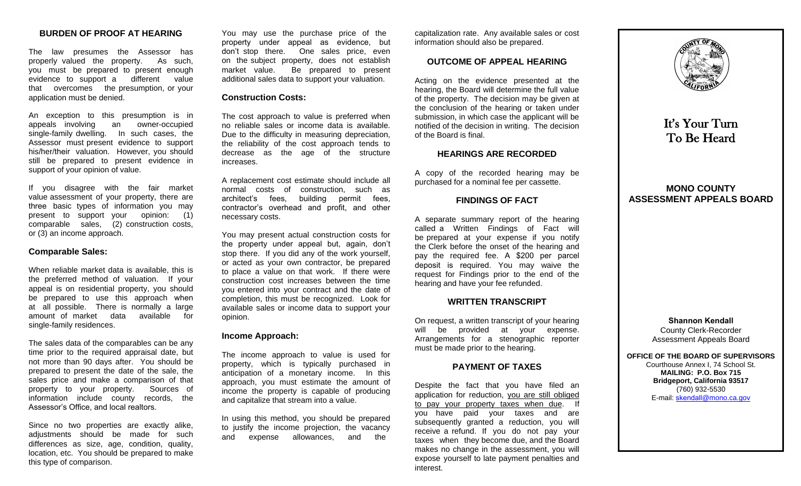# **BURDEN OF PROOF AT HEARING**

The law presumes the Assessor has properly valued the property. As such, you must be prepared to present enough evidence to support a different value that overcomes the presumption, or your application must be denied.

An exception to this presumption is in appeals involving an owner-occupied single-family dwelling. In such cases, the Assessor must present evidence to support his/her/their valuation. However, you should still be prepared to present evidence in support of your opinion of value.

If you disagree with the fair market value assessment of your property, there are three basic types of information you may present to support your opinion: (1) comparable sales, (2) construction costs, or (3) an income approach.

#### **Comparable Sales:**

When reliable market data is available, this is the preferred method of valuation. If your appeal is on residential property, you should be prepared to use this approach when at all possible. There is normally a large amount of market data available for single-family residences.

The sales data of the comparables can be any time prior to the required appraisal date, but not more than 90 days after. You should be prepared to present the date of the sale, the sales price and make a comparison of that property to your property. Sources of information include county records, the Assessor's Office, and local realtors.

Since no two properties are exactly alike, adjustments should be made for such differences as size, age, condition, quality, location, etc. You should be prepared to make this type of comparison.

You may use the purchase price of the property under appeal as evidence, but don't stop there. One sales price, even on the subject property, does not establish market value. Be prepared to present additional sales data to support your valuation.

#### **Construction Costs:**

The cost approach to value is preferred when no reliable sales or income data is available. Due to the difficulty in measuring depreciation, the reliability of the cost approach tends to decrease as the age of the structure increases.

A replacement cost estimate should include all normal costs of construction, such as architect's fees, building permit fees, contractor's overhead and profit, and other necessary costs.

You may present actual construction costs for the property under appeal but, again, don't stop there. If you did any of the work yourself, or acted as your own contractor, be prepared to place a value on that work. If there were construction cost increases between the time you entered into your contract and the date of completion, this must be recognized. Look for available sales or income data to support your opinion.

## **Income Approach:**

The income approach to value is used for property, which is typically purchased in anticipation of a monetary income. In this approach, you must estimate the amount of income the property is capable of producing and capitalize that stream into a value.

In using this method, you should be prepared to justify the income projection, the vacancy and expense allowances, and the

capitalization rate. Any available sales or cost information should also be prepared.

## **OUTCOME OF APPEAL HEARING**

Acting on the evidence presented at the hearing, the Board will determine the full value of the property. The decision may be given at the conclusion of the hearing or taken under submission, in which case the applicant will be notified of the decision in writing. The decision of the Board is final.

#### **HEARINGS ARE RECORDED**

A copy of the recorded hearing may be purchased for a nominal fee per cassette.

#### **FINDINGS OF FACT**

A separate summary report of the hearing called a Written Findings of Fact will be prepared at your expense if you notify the Clerk before the onset of the hearing and pay the required fee. A \$200 per parcel deposit is required. You may waive the request for Findings prior to the end of the hearing and have your fee refunded.

#### **WRITTEN TRANSCRIPT**

On request, a written transcript of your hearing will be provided at your expense. Arrangements for a stenographic reporter must be made prior to the hearing.

# **PAYMENT OF TAXES**

Despite the fact that you have filed an application for reduction, you are still obliged to pay your property taxes when due. If you have paid your taxes and are subsequently granted a reduction, you will receive a refund. If you do not pay your taxes when they become due, and the Board makes no change in the assessment, you will expose yourself to late payment penalties and interest.



It's Your Turn To Be Heard

# **MONO COUNTY ASSESSMENT APPEALS BOARD**

**Shannon Kendall** County Clerk-Recorder Assessment Appeals Board

**OFFICE OF THE BOARD OF SUPERVISORS**  Courthouse Annex I, 74 School St.

**MAILING: P.O. Box 715 Bridgeport, California 93517**  (760) 932-5530 E-mail: skendall[@mono.ca.gov](mailto:lroberts@mono.ca.gov)